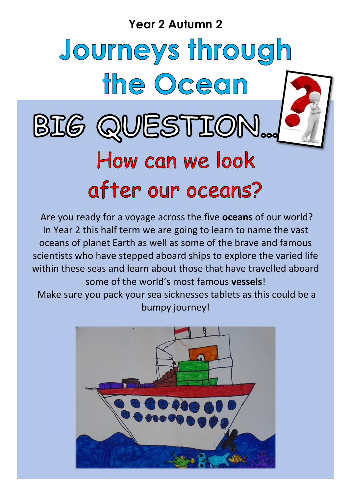**Year 2 Autumn 2**

# Journeys through the Ocean BIG QUESTION... How can we look after our oceans?

Are you ready for a voyage across the five **oceans** of our world? In Year 2 this half term we are going to learn to name the vast oceans of planet Earth as well as some of the brave and famous scientists who have stepped aboard ships to explore the varied life within these seas and learn about those that have travelled aboard some of the world's most famous **vessels**! Make sure you pack your sea sicknesses tablets as this could be a bumpy journey!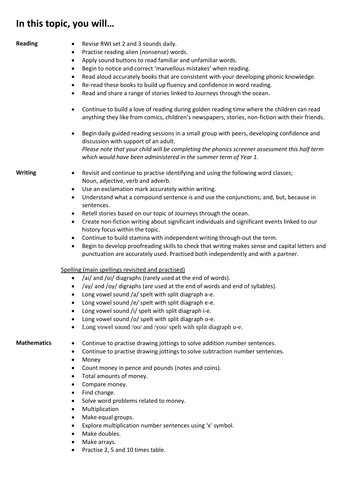## **In this topic, you will…**

- **Reading Revise RWI set 2 and 3 sounds daily.** 
	- Practise reading alien (nonsense) words.
	- Apply sound buttons to read familiar and unfamiliar words.
	- Begin to notice and correct 'marvellous mistakes' when reading.
	- Read aloud accurately books that are consistent with your developing phonic knowledge.
	- Re-read these books to build up fluency and confidence in word reading.
	- Read and share a range of stories linked to Journeys through the ocean.
	- Continue to build a love of reading during golden reading time where the children can read anything they like from comics, children's newspapers, stories, non-fiction with their friends.
	- Begin daily guided reading sessions in a small group with peers, developing confidence and discussion with support of an adult. *Please note that your child will be completing the phonics screener assessment this half term which would have been administered in the summer term of Year 1.*

- **Writing ••** Revisit and continue to practise identifying and using the following word classes; Noun, adjective, verb and adverb.
	- Use an exclamation mark accurately within writing.
	- Understand what a compound sentence is and use the conjunctions; and, but, because in sentences.
	- Retell stories based on our topic of Journeys through the ocean.
	- Create non-fiction writing about significant individuals and significant events linked to our history focus within the topic.
	- Continue to build stamina with independent writing through-out the term.
	- Begin to develop proofreading skills to check that writing makes sense and capital letters and punctuation are accurately used. Practised both independently and with a partner.

### Spelling (main spellings revisited and practised)

- /ai/ and /oi/ diagraphs (rarely used at the end of words).
- /ay/ and /oy/ digraphs (are used at the end of words and end of syllables).
- Long vowel sound /a/ spelt with split diagraph a-e.
- Long vowel sound /e/ spelt with split diagraph e-e.
- Long vowel sound /i/ spelt with split diagraph i-e.
- Long vowel sound /o/ spelt with split diagraph o-e.
- Long vowel sound /oo/ and /yoo/ spelt with split diagraph u-e.

- **Mathematics**  $\bullet$  Continue to practise drawing jottings to solve addition number sentences.
	- Continue to practise drawing jottings to solve subtraction number sentences.
	- Money
	- Count money in pence and pounds (notes and coins).
	- Total amounts of money.
	- Compare money.
	- Find change.
	- Solve word problems related to money.
	- Multiplication
	- Make equal groups.
	- Explore multiplication number sentences using 'x' symbol.
	- Make doubles.
	- Make arrays.
	- Practise 2, 5 and 10 times table.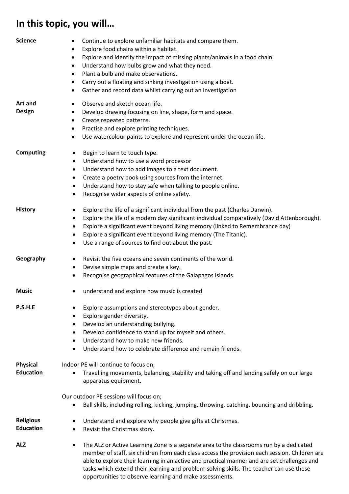# **In this topic, you will…**

| <b>Science</b>                       | Continue to explore unfamiliar habitats and compare them.<br>٠<br>Explore food chains within a habitat.<br>$\bullet$<br>Explore and identify the impact of missing plants/animals in a food chain.<br>$\bullet$<br>Understand how bulbs grow and what they need.<br>$\bullet$<br>Plant a bulb and make observations.<br>$\bullet$<br>Carry out a floating and sinking investigation using a boat.<br>$\bullet$<br>Gather and record data whilst carrying out an investigation<br>$\bullet$ |
|--------------------------------------|--------------------------------------------------------------------------------------------------------------------------------------------------------------------------------------------------------------------------------------------------------------------------------------------------------------------------------------------------------------------------------------------------------------------------------------------------------------------------------------------|
| <b>Art and</b>                       | Observe and sketch ocean life.<br>٠                                                                                                                                                                                                                                                                                                                                                                                                                                                        |
| <b>Design</b>                        | Develop drawing focusing on line, shape, form and space.<br>$\bullet$                                                                                                                                                                                                                                                                                                                                                                                                                      |
|                                      | Create repeated patterns.<br>$\bullet$                                                                                                                                                                                                                                                                                                                                                                                                                                                     |
|                                      | Practise and explore printing techniques.<br>$\bullet$                                                                                                                                                                                                                                                                                                                                                                                                                                     |
|                                      | Use watercolour paints to explore and represent under the ocean life.<br>$\bullet$                                                                                                                                                                                                                                                                                                                                                                                                         |
| <b>Computing</b>                     | Begin to learn to touch type.<br>$\bullet$                                                                                                                                                                                                                                                                                                                                                                                                                                                 |
|                                      | Understand how to use a word processor<br>$\bullet$                                                                                                                                                                                                                                                                                                                                                                                                                                        |
|                                      | Understand how to add images to a text document.<br>$\bullet$                                                                                                                                                                                                                                                                                                                                                                                                                              |
|                                      | Create a poetry book using sources from the internet.<br>٠                                                                                                                                                                                                                                                                                                                                                                                                                                 |
|                                      | Understand how to stay safe when talking to people online.<br>$\bullet$                                                                                                                                                                                                                                                                                                                                                                                                                    |
|                                      | Recognise wider aspects of online safety.<br>$\bullet$                                                                                                                                                                                                                                                                                                                                                                                                                                     |
| <b>History</b>                       | Explore the life of a significant individual from the past (Charles Darwin).<br>$\bullet$                                                                                                                                                                                                                                                                                                                                                                                                  |
|                                      | Explore the life of a modern day significant individual comparatively (David Attenborough).<br>$\bullet$                                                                                                                                                                                                                                                                                                                                                                                   |
|                                      | Explore a significant event beyond living memory (linked to Remembrance day)<br>$\bullet$                                                                                                                                                                                                                                                                                                                                                                                                  |
|                                      | Explore a significant event beyond living memory (The Titanic).<br>$\bullet$                                                                                                                                                                                                                                                                                                                                                                                                               |
|                                      | Use a range of sources to find out about the past.<br>$\bullet$                                                                                                                                                                                                                                                                                                                                                                                                                            |
| Geography                            | Revisit the five oceans and seven continents of the world.<br>$\bullet$<br>Devise simple maps and create a key.<br>$\bullet$<br>Recognise geographical features of the Galapagos Islands.<br>٠                                                                                                                                                                                                                                                                                             |
| <b>Music</b>                         | understand and explore how music is created<br>$\bullet$                                                                                                                                                                                                                                                                                                                                                                                                                                   |
| P.S.H.E                              | Explore assumptions and stereotypes about gender.<br>٠                                                                                                                                                                                                                                                                                                                                                                                                                                     |
|                                      | Explore gender diversity.<br>٠                                                                                                                                                                                                                                                                                                                                                                                                                                                             |
|                                      | Develop an understanding bullying.<br>٠                                                                                                                                                                                                                                                                                                                                                                                                                                                    |
|                                      | Develop confidence to stand up for myself and others.<br>$\bullet$                                                                                                                                                                                                                                                                                                                                                                                                                         |
|                                      | Understand how to make new friends.<br>$\bullet$                                                                                                                                                                                                                                                                                                                                                                                                                                           |
|                                      | Understand how to celebrate difference and remain friends.<br>$\bullet$                                                                                                                                                                                                                                                                                                                                                                                                                    |
| <b>Physical</b>                      | Indoor PE will continue to focus on;                                                                                                                                                                                                                                                                                                                                                                                                                                                       |
| <b>Education</b>                     | Travelling movements, balancing, stability and taking off and landing safely on our large<br>apparatus equipment.                                                                                                                                                                                                                                                                                                                                                                          |
|                                      | Our outdoor PE sessions will focus on;                                                                                                                                                                                                                                                                                                                                                                                                                                                     |
|                                      | Ball skills, including rolling, kicking, jumping, throwing, catching, bouncing and dribbling.<br>٠                                                                                                                                                                                                                                                                                                                                                                                         |
| <b>Religious</b><br><b>Education</b> | Understand and explore why people give gifts at Christmas.<br>٠<br>Revisit the Christmas story.<br>$\bullet$                                                                                                                                                                                                                                                                                                                                                                               |
| <b>ALZ</b>                           | The ALZ or Active Learning Zone is a separate area to the classrooms run by a dedicated<br>$\bullet$<br>member of staff, six children from each class access the provision each session. Children are<br>able to explore their learning in an active and practical manner and are set challenges and<br>tasks which extend their learning and problem-solving skills. The teacher can use these<br>opportunities to observe learning and make assessments.                                 |